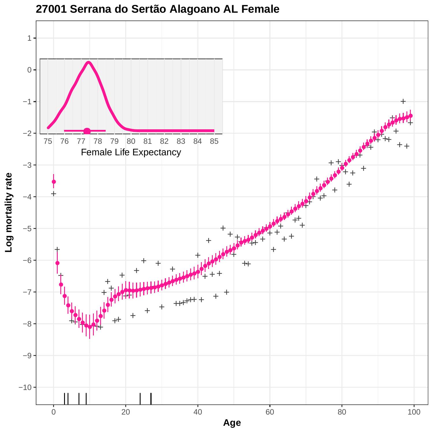

**27001 Serrana do Sertão Alagoano AL Female**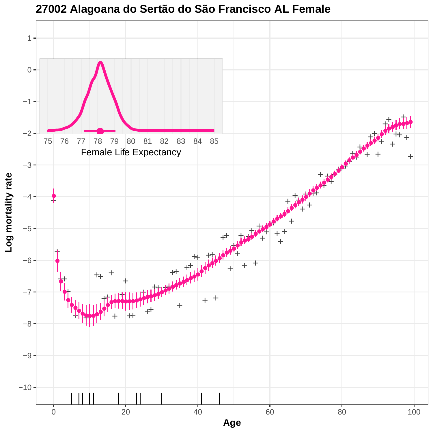

**27002 Alagoana do Sertão do São Francisco AL Female**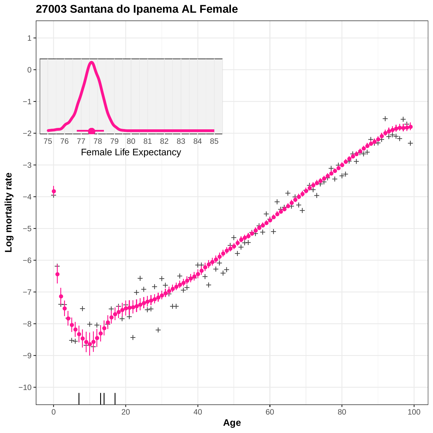

**27003 Santana do Ipanema AL Female**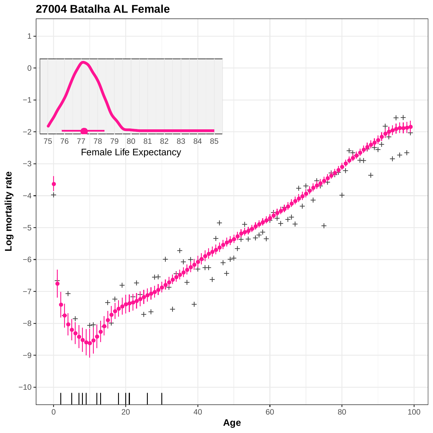

**27004 Batalha AL Female**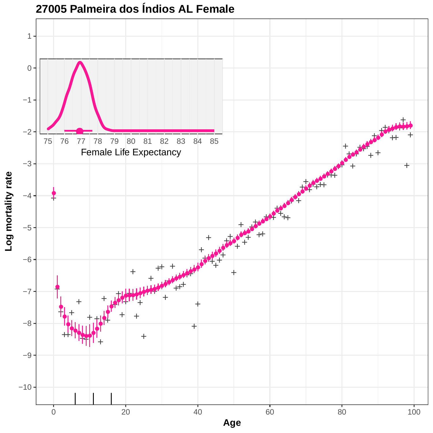

**27005 Palmeira dos Índios AL Female**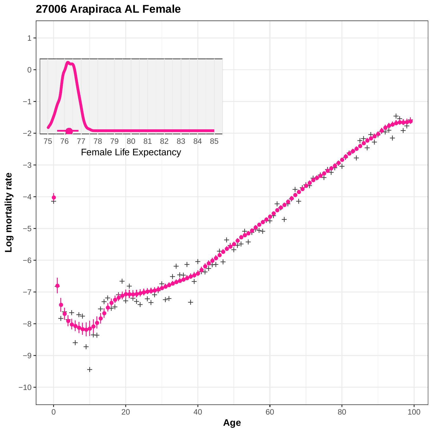

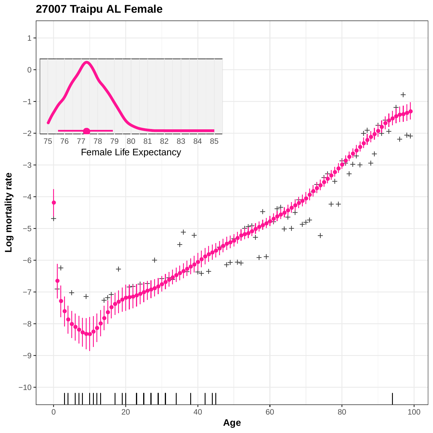## **27007 Traipu AL Female**

![](_page_6_Figure_1.jpeg)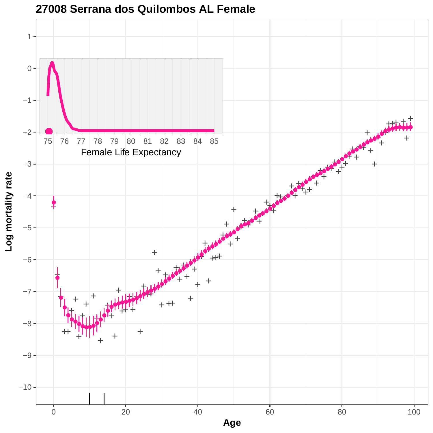![](_page_7_Figure_0.jpeg)

## **27008 Serrana dos Quilombos AL Female**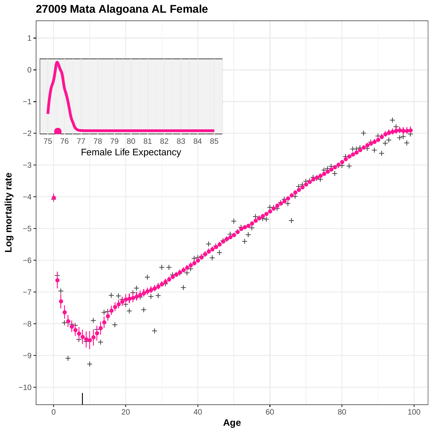![](_page_8_Figure_0.jpeg)

![](_page_8_Figure_1.jpeg)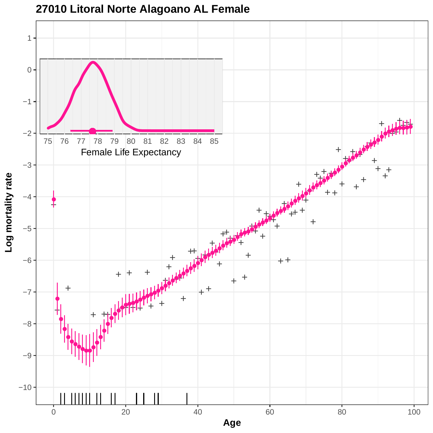![](_page_9_Figure_0.jpeg)

**27010 Litoral Norte Alagoano AL Female**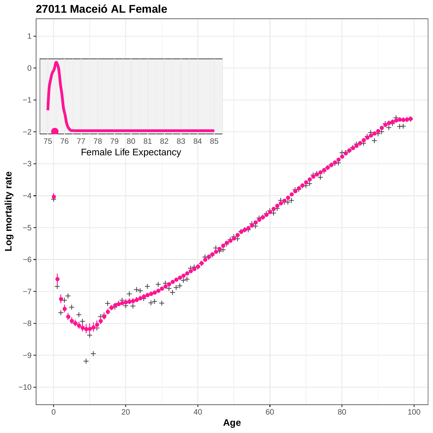![](_page_10_Figure_0.jpeg)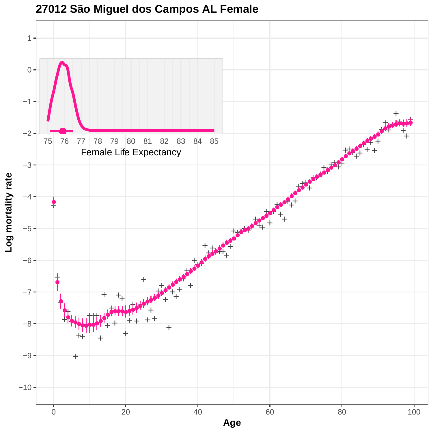![](_page_11_Figure_0.jpeg)

**27012 São Miguel dos Campos AL Female**